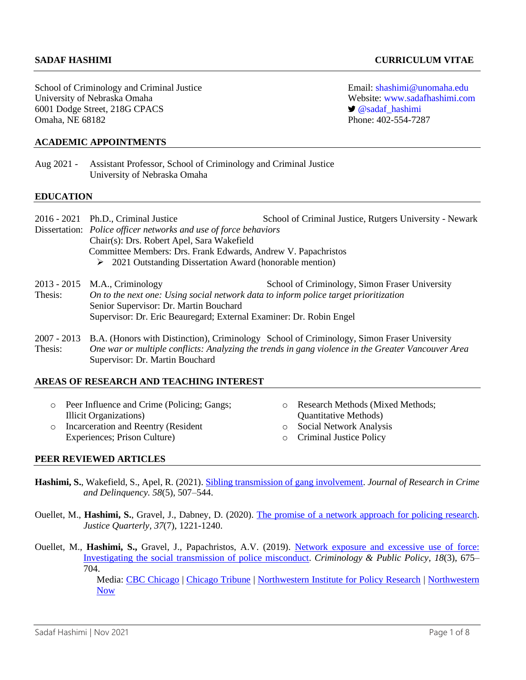School of Criminology and Criminal Justice Email: [shashimi@unomaha.edu](mailto:shashimi@unomaha.edu) University of Nebraska Omaha Website: [www.sadafhashimi.com](http://www.sadafhashimi.com/) 6001 Dodge Street, 218G CPACS **[@sadaf\\_hashimi](https://twitter.com/sadaf_hashimi)** Omaha, NE 68182 Phone: 402-554-7287

## **ACADEMIC APPOINTMENTS**

Aug 2021 - Assistant Professor, School of Criminology and Criminal Justice University of Nebraska Omaha

### **EDUCATION**

|                | 2016 - 2021 Ph.D., Criminal Justice                                                  | School of Criminal Justice, Rutgers University - Newark                                                |  |
|----------------|--------------------------------------------------------------------------------------|--------------------------------------------------------------------------------------------------------|--|
|                | Dissertation: Police officer networks and use of force behaviors                     |                                                                                                        |  |
|                | Chair(s): Drs. Robert Apel, Sara Wakefield                                           |                                                                                                        |  |
|                | Committee Members: Drs. Frank Edwards, Andrew V. Papachristos                        |                                                                                                        |  |
|                | $\geq$ 2021 Outstanding Dissertation Award (honorable mention)                       |                                                                                                        |  |
| $2013 - 2015$  | M.A., Criminology                                                                    | School of Criminology, Simon Fraser University                                                         |  |
| Thesis:        | On to the next one: Using social network data to inform police target prioritization |                                                                                                        |  |
|                | Senior Supervisor: Dr. Martin Bouchard                                               |                                                                                                        |  |
|                | Supervisor: Dr. Eric Beauregard; External Examiner: Dr. Robin Engel                  |                                                                                                        |  |
|                |                                                                                      | 2007 - 2013 B.A. (Honors with Distinction), Criminology School of Criminology, Simon Fraser University |  |
| Thesis $\cdot$ |                                                                                      | One war or multiple conflicts: Analyzing the trends in gang violence in the Greater Vancouver Area     |  |

# *One war or multiple conflicts: Analyzing the trends in gang violence in the Greater Vancouver Area* Supervisor: Dr. Martin Bouchard

## **AREAS OF RESEARCH AND TEACHING INTEREST**

| o Peer Influence and Crime (Policing; Gangs; | <b>Research Methods (Mixed Methods;</b> |
|----------------------------------------------|-----------------------------------------|
| Illicit Organizations)                       | <b>Quantitative Methods</b> )           |
| o Incarceration and Reentry (Resident        | <b>Social Network Analysis</b>          |
| Experiences; Prison Culture)                 | <b>Criminal Justice Policy</b>          |

### **PEER REVIEWED ARTICLES**

- **Hashimi, S.**, Wakefield, S., Apel, R. (2021). [Sibling transmission of gang involvement.](https://journals.sagepub.com/doi/abs/10.1177/0022427820986592) *Journal of Research in Crime and Delinquency. 58*(5), 507–544.
- Ouellet, M., **Hashimi, S.**, Gravel, J., Dabney, D. (2020). [The promise of a network approach for policing research.](https://www.tandfonline.com/doi/full/10.1080/07418825.2020.1841268?casa_token=-3w1kmxBQRwAAAAA%3AG0XZfGII7d7UBfWwTL2hAmpQAN4B-RdQLc8sjDi-ca-pFMuFEaBTJuA9qzPoVfmEDazcGs0KNOaZ) *Justice Quarterly, 37*(7), 1221-1240.
- Ouellet, M., **Hashimi, S.,** Gravel, J., Papachristos, A.V. (2019). [Network exposure and excessive use of force:](https://onlinelibrary.wiley.com/doi/full/10.1111/1745-9133.12459?casa_token=pqB_d8k4JA4AAAAA%3Ahe6j8Bi0o1TM057rNu0NROiOF47H1P_rjfwT1hQfvXCPHkQmgNTjkw7EyRUjp4ZeBHsmfh996zTkQw)  [Investigating the social transmission](https://onlinelibrary.wiley.com/doi/full/10.1111/1745-9133.12459?casa_token=pqB_d8k4JA4AAAAA%3Ahe6j8Bi0o1TM057rNu0NROiOF47H1P_rjfwT1hQfvXCPHkQmgNTjkw7EyRUjp4ZeBHsmfh996zTkQw) of police misconduct. *Criminology & Public Policy, 18*(3), 675– 704.

Media: [CBC Chicago](https://chicago.cbslocal.com/2019/08/01/police-excessive-force-nu-study/) | [Chicago Tribune](https://www.chicagotribune.com/news/criminal-justice/ct-predicting-bad-police-behavior-20190801-xumudeezmjalbbpmqwyvh26tdi-story.html) | [Northwestern Institute for Policy Research](https://www.ipr.northwestern.edu/news/2019/papachristos-police-misconduct-study.html?linkId=74403858) | [Northwestern](https://news.northwestern.edu/stories/2019/08/police-misconduct/)  [Now](https://news.northwestern.edu/stories/2019/08/police-misconduct/)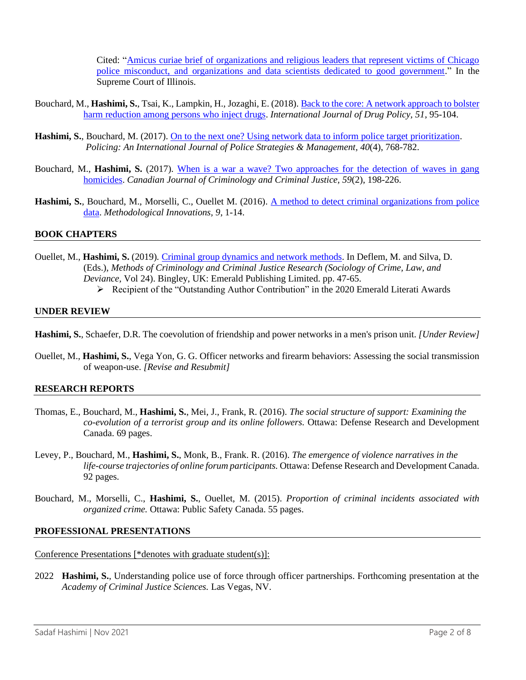Cited: ["Amicus curiae brief of organizations and religious leaders that represent victims of Chicago](https://www.blacklivesmatterchicago.com/wp-content/uploads/2020/03/Victims-Survivors-Amicus-Brief-stamped.pdf)  [police misconduct, and organizations and data scientists dedicated to good government.](https://www.blacklivesmatterchicago.com/wp-content/uploads/2020/03/Victims-Survivors-Amicus-Brief-stamped.pdf)" In the Supreme Court of Illinois.

- Bouchard, M., **Hashimi, S.**, Tsai, K., Lampkin, H., Jozaghi, E. (2018). [Back to the core: A network approach to bolster](https://www.sciencedirect.com/science/article/pii/S0955395917303262?casa_token=qU8eSu_a5tEAAAAA:3RZ6n8IKTrDJsX23qstjmaL8KwrWf2j9L-i8TzSxvsV_XEn_LFDahY7tsf8i2AlxawEY-XsNAQ)  [harm reduction among persons who inject drugs.](https://www.sciencedirect.com/science/article/pii/S0955395917303262?casa_token=qU8eSu_a5tEAAAAA:3RZ6n8IKTrDJsX23qstjmaL8KwrWf2j9L-i8TzSxvsV_XEn_LFDahY7tsf8i2AlxawEY-XsNAQ) *International Journal of Drug Policy, 51*, 95-104.
- Hashimi, S., Bouchard, M. (2017). [On to the next one? Using network data to inform police target prioritization.](https://www.emerald.com/insight/content/doi/10.1108/PIJPSM-06-2016-0079/full/html) *Policing: An International Journal of Police Strategies & Management, 40*(4), 768-782.
- Bouchard, M., **Hashimi, S.** (2017). [When is a war a wave? Two approaches for the detection of waves in gang](https://www.utpjournals.press/doi/abs/10.3138/cjccj.2015.E09)  [homicides.](https://www.utpjournals.press/doi/abs/10.3138/cjccj.2015.E09) *Canadian Journal of Criminology and Criminal Justice, 59*(2), 198-226.
- **Hashimi, S.**, Bouchard, M., Morselli, C., Ouellet M. (2016). [A method to detect criminal organizations from police](https://journals.sagepub.com/doi/full/10.1177/2059799115622749)  [data.](https://journals.sagepub.com/doi/full/10.1177/2059799115622749) *Methodological Innovations, 9*, 1-14.

## **BOOK CHAPTERS**

- Ouellet, M., **Hashimi, S.** (2019)*.* [Criminal group dynamics and network methods.](https://www.emerald.com/insight/content/doi/10.1108/S1521-613620190000024006/full/html) In Deflem, M. and Silva, D. (Eds.), *Methods of Criminology and Criminal Justice Research (Sociology of Crime, Law, and Deviance,* Vol 24). Bingley, UK: Emerald Publishing Limited. pp. 47-65.
	- ➢ Recipient of the "Outstanding Author Contribution" in the 2020 Emerald Literati Awards

### **UNDER REVIEW**

- **Hashimi, S.**, Schaefer, D.R. The coevolution of friendship and power networks in a men's prison unit. *[Under Review]*
- Ouellet, M., **Hashimi, S.**, Vega Yon, G. G. Officer networks and firearm behaviors: Assessing the social transmission of weapon-use. *[Revise and Resubmit]*

### **RESEARCH REPORTS**

- Thomas, E., Bouchard, M., **Hashimi, S.**, Mei, J., Frank, R. (2016). *The social structure of support: Examining the co-evolution of a terrorist group and its online followers.* Ottawa: Defense Research and Development Canada. 69 pages.
- Levey, P., Bouchard, M., **Hashimi, S.**, Monk, B., Frank. R. (2016). *The emergence of violence narratives in the life-course trajectories of online forum participants.* Ottawa: Defense Research and Development Canada. 92 pages.
- Bouchard, M., Morselli, C., **Hashimi, S.**, Ouellet, M. (2015). *Proportion of criminal incidents associated with organized crime.* Ottawa: Public Safety Canada. 55 pages.

### **PROFESSIONAL PRESENTATIONS**

Conference Presentations [\*denotes with graduate student(s)]:

2022 **Hashimi, S.**, Understanding police use of force through officer partnerships. Forthcoming presentation at the *Academy of Criminal Justice Sciences.* Las Vegas, NV.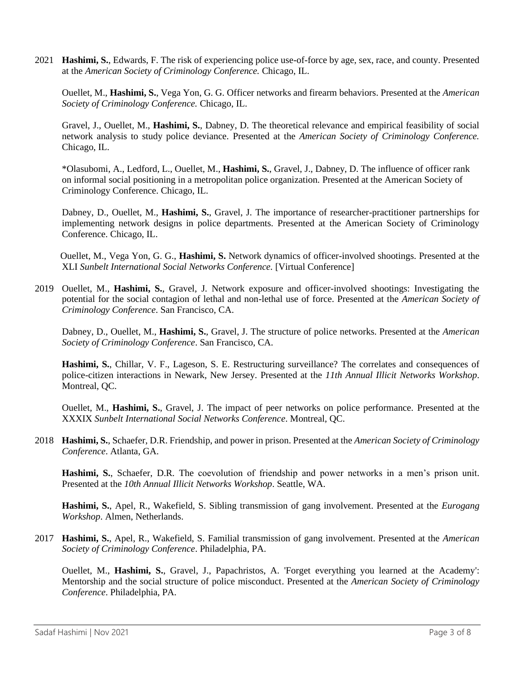2021 **Hashimi, S.**, Edwards, F. The risk of experiencing police use-of-force by age, sex, race, and county. Presented at the *American Society of Criminology Conference.* Chicago, IL.

Ouellet, M., **Hashimi, S.**, Vega Yon, G. G. Officer networks and firearm behaviors. Presented at the *American Society of Criminology Conference.* Chicago, IL.

Gravel, J., Ouellet, M., **Hashimi, S.**, Dabney, D. The theoretical relevance and empirical feasibility of social network analysis to study police deviance. Presented at the *American Society of Criminology Conference.*  Chicago, IL.

\*Olasubomi, A., Ledford, L., Ouellet, M., **Hashimi, S.**, Gravel, J., Dabney, D. The influence of officer rank on informal social positioning in a metropolitan police organization. Presented at the American Society of Criminology Conference. Chicago, IL.

Dabney, D., Ouellet, M., **Hashimi, S.**, Gravel, J. The importance of researcher-practitioner partnerships for implementing network designs in police departments. Presented at the American Society of Criminology Conference. Chicago, IL.

Ouellet, M., Vega Yon, G. G., **Hashimi, S.** Network dynamics of officer-involved shootings. Presented at the XLI *Sunbelt International Social Networks Conference.* [Virtual Conference]

2019 Ouellet, M., **Hashimi, S.**, Gravel, J. Network exposure and officer-involved shootings: Investigating the potential for the social contagion of lethal and non-lethal use of force. Presented at the *American Society of Criminology Conference*. San Francisco, CA.

Dabney, D., Ouellet, M., **Hashimi, S.**, Gravel, J. The structure of police networks. Presented at the *American Society of Criminology Conference*. San Francisco, CA.

**Hashimi, S.**, Chillar, V. F., Lageson, S. E. Restructuring surveillance? The correlates and consequences of police-citizen interactions in Newark, New Jersey. Presented at the *11th Annual Illicit Networks Workshop*. Montreal, QC.

Ouellet, M., **Hashimi, S.**, Gravel, J. The impact of peer networks on police performance. Presented at the XXXIX *Sunbelt International Social Networks Conference*. Montreal, QC.

2018 **Hashimi, S.**, Schaefer, D.R. Friendship, and power in prison. Presented at the *American Society of Criminology Conference*. Atlanta, GA.

**Hashimi, S.**, Schaefer, D.R. The coevolution of friendship and power networks in a men's prison unit. Presented at the *10th Annual Illicit Networks Workshop*. Seattle, WA.

**Hashimi, S.**, Apel, R., Wakefield, S. Sibling transmission of gang involvement. Presented at the *Eurogang Workshop*. Almen, Netherlands.

2017 **Hashimi, S.**, Apel, R., Wakefield, S. Familial transmission of gang involvement. Presented at the *American Society of Criminology Conference*. Philadelphia, PA.

Ouellet, M., **Hashimi, S.**, Gravel, J., Papachristos, A. 'Forget everything you learned at the Academy': Mentorship and the social structure of police misconduct. Presented at the *American Society of Criminology Conference*. Philadelphia, PA.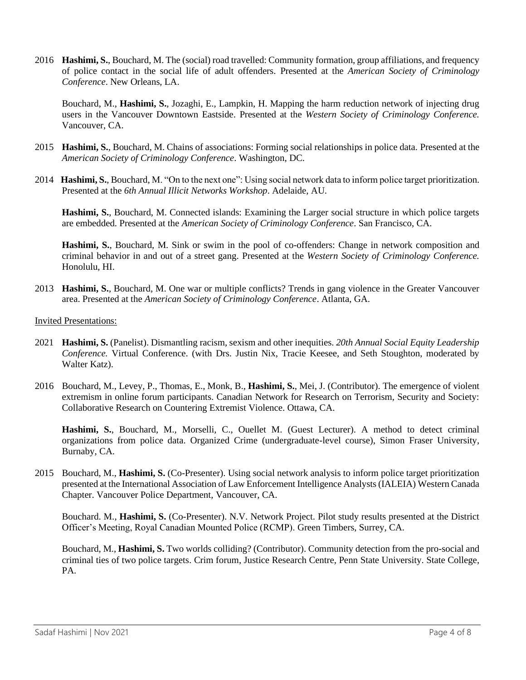2016 **Hashimi, S.**, Bouchard, M. The (social) road travelled: Community formation, group affiliations, and frequency of police contact in the social life of adult offenders. Presented at the *American Society of Criminology Conference*. New Orleans, LA.

Bouchard, M., **Hashimi, S.**, Jozaghi, E., Lampkin, H. Mapping the harm reduction network of injecting drug users in the Vancouver Downtown Eastside. Presented at the *Western Society of Criminology Conference.* Vancouver, CA.

- 2015 **Hashimi, S.**, Bouchard, M. Chains of associations: Forming social relationships in police data. Presented at the *American Society of Criminology Conference*. Washington, DC.
- 2014 **Hashimi, S.**, Bouchard, M. "On to the next one": Using social network data to inform police target prioritization. Presented at the *6th Annual Illicit Networks Workshop*. Adelaide, AU.

**Hashimi, S.**, Bouchard, M. Connected islands: Examining the Larger social structure in which police targets are embedded. Presented at the *American Society of Criminology Conference*. San Francisco, CA.

**Hashimi, S.**, Bouchard, M. Sink or swim in the pool of co-offenders: Change in network composition and criminal behavior in and out of a street gang. Presented at the *Western Society of Criminology Conference.* Honolulu, HI.

2013 **Hashimi, S.**, Bouchard, M. One war or multiple conflicts? Trends in gang violence in the Greater Vancouver area. Presented at the *American Society of Criminology Conference*. Atlanta, GA.

### Invited Presentations:

- 2021 **Hashimi, S.** (Panelist). Dismantling racism, sexism and other inequities. *20th Annual Social Equity Leadership Conference.* Virtual Conference. (with Drs. Justin Nix, Tracie Keesee, and Seth Stoughton, moderated by Walter Katz).
- 2016 Bouchard, M., Levey, P., Thomas, E., Monk, B., **Hashimi, S.**, Mei, J. (Contributor). The emergence of violent extremism in online forum participants. Canadian Network for Research on Terrorism, Security and Society: Collaborative Research on Countering Extremist Violence. Ottawa, CA.

**Hashimi, S.**, Bouchard, M., Morselli, C., Ouellet M. (Guest Lecturer). A method to detect criminal organizations from police data. Organized Crime (undergraduate-level course), Simon Fraser University, Burnaby, CA.

2015 Bouchard, M., **Hashimi, S.** (Co-Presenter). Using social network analysis to inform police target prioritization presented at the International Association of Law Enforcement Intelligence Analysts (IALEIA) Western Canada Chapter. Vancouver Police Department, Vancouver, CA.

Bouchard. M., **Hashimi, S.** (Co-Presenter). N.V. Network Project. Pilot study results presented at the District Officer's Meeting, Royal Canadian Mounted Police (RCMP). Green Timbers, Surrey, CA.

Bouchard, M., **Hashimi, S.** Two worlds colliding? (Contributor). Community detection from the pro-social and criminal ties of two police targets. Crim forum, Justice Research Centre, Penn State University. State College, PA.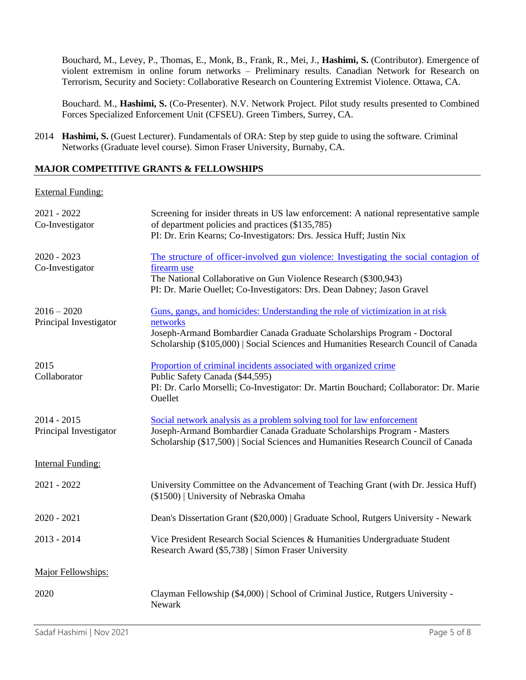Bouchard, M., Levey, P., Thomas, E., Monk, B., Frank, R., Mei, J., **Hashimi, S.** (Contributor). Emergence of violent extremism in online forum networks – Preliminary results. Canadian Network for Research on Terrorism, Security and Society: Collaborative Research on Countering Extremist Violence. Ottawa, CA.

Bouchard. M., **Hashimi, S.** (Co-Presenter). N.V. Network Project*.* Pilot study results presented to Combined Forces Specialized Enforcement Unit (CFSEU). Green Timbers, Surrey, CA.

2014 **Hashimi, S.** (Guest Lecturer). Fundamentals of ORA: Step by step guide to using the software*.* Criminal Networks (Graduate level course). Simon Fraser University, Burnaby, CA.

## **MAJOR COMPETITIVE GRANTS & FELLOWSHIPS**

### External Funding:

| 2021 - 2022<br>Co-Investigator          | Screening for insider threats in US law enforcement: A national representative sample<br>of department policies and practices (\$135,785)<br>PI: Dr. Erin Kearns; Co-Investigators: Drs. Jessica Huff; Justin Nix                                             |
|-----------------------------------------|---------------------------------------------------------------------------------------------------------------------------------------------------------------------------------------------------------------------------------------------------------------|
| $2020 - 2023$<br>Co-Investigator        | The structure of officer-involved gun violence: Investigating the social contagion of<br>firearm use<br>The National Collaborative on Gun Violence Research (\$300,943)<br>PI: Dr. Marie Ouellet; Co-Investigators: Drs. Dean Dabney; Jason Gravel            |
| $2016 - 2020$<br>Principal Investigator | Guns, gangs, and homicides: Understanding the role of victimization in at risk<br>networks<br>Joseph-Armand Bombardier Canada Graduate Scholarships Program - Doctoral<br>Scholarship (\$105,000)   Social Sciences and Humanities Research Council of Canada |
| 2015<br>Collaborator                    | Proportion of criminal incidents associated with organized crime<br>Public Safety Canada (\$44,595)<br>PI: Dr. Carlo Morselli; Co-Investigator: Dr. Martin Bouchard; Collaborator: Dr. Marie<br>Ouellet                                                       |
| $2014 - 2015$<br>Principal Investigator | Social network analysis as a problem solving tool for law enforcement<br>Joseph-Armand Bombardier Canada Graduate Scholarships Program - Masters<br>Scholarship (\$17,500)   Social Sciences and Humanities Research Council of Canada                        |
| <b>Internal Funding:</b>                |                                                                                                                                                                                                                                                               |
| $2021 - 2022$                           | University Committee on the Advancement of Teaching Grant (with Dr. Jessica Huff)<br>(\$1500)   University of Nebraska Omaha                                                                                                                                  |
| $2020 - 2021$                           | Dean's Dissertation Grant (\$20,000)   Graduate School, Rutgers University - Newark                                                                                                                                                                           |
| $2013 - 2014$                           | Vice President Research Social Sciences & Humanities Undergraduate Student<br>Research Award (\$5,738)   Simon Fraser University                                                                                                                              |
| Major Fellowships:                      |                                                                                                                                                                                                                                                               |
| 2020                                    | Clayman Fellowship (\$4,000)   School of Criminal Justice, Rutgers University -<br>Newark                                                                                                                                                                     |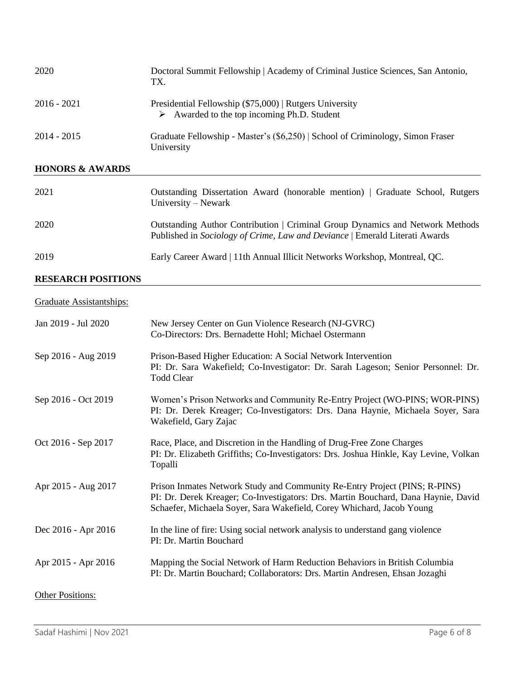| 2020                       | Doctoral Summit Fellowship   Academy of Criminal Justice Sciences, San Antonio,<br>TX.                                |
|----------------------------|-----------------------------------------------------------------------------------------------------------------------|
| $2016 - 2021$              | Presidential Fellowship (\$75,000)   Rutgers University<br>$\triangleright$ Awarded to the top incoming Ph.D. Student |
| $2014 - 2015$              | Graduate Fellowship - Master's (\$6,250)   School of Criminology, Simon Fraser<br>University                          |
| <b>HONORS &amp; AWARDS</b> |                                                                                                                       |
| 2021                       | Outstanding Dissertation Award (honorable mention)   Graduate School, Rutgers<br>University – Newark                  |

| 2020 | Outstanding Author Contribution   Criminal Group Dynamics and Network Methods<br>Published in Sociology of Crime, Law and Deviance   Emerald Literati Awards |
|------|--------------------------------------------------------------------------------------------------------------------------------------------------------------|
| 2019 | Early Career Award   11th Annual Illicit Networks Workshop, Montreal, QC.                                                                                    |

# **RESEARCH POSITIONS**

# Graduate Assistantships:

| Jan 2019 - Jul 2020     | New Jersey Center on Gun Violence Research (NJ-GVRC)<br>Co-Directors: Drs. Bernadette Hohl; Michael Ostermann                                                                                                                            |
|-------------------------|------------------------------------------------------------------------------------------------------------------------------------------------------------------------------------------------------------------------------------------|
| Sep 2016 - Aug 2019     | Prison-Based Higher Education: A Social Network Intervention<br>PI: Dr. Sara Wakefield; Co-Investigator: Dr. Sarah Lageson; Senior Personnel: Dr.<br><b>Todd Clear</b>                                                                   |
| Sep 2016 - Oct 2019     | Women's Prison Networks and Community Re-Entry Project (WO-PINS; WOR-PINS)<br>PI: Dr. Derek Kreager; Co-Investigators: Drs. Dana Haynie, Michaela Soyer, Sara<br>Wakefield, Gary Zajac                                                   |
| Oct 2016 - Sep 2017     | Race, Place, and Discretion in the Handling of Drug-Free Zone Charges<br>PI: Dr. Elizabeth Griffiths; Co-Investigators: Drs. Joshua Hinkle, Kay Levine, Volkan<br>Topalli                                                                |
| Apr 2015 - Aug 2017     | Prison Inmates Network Study and Community Re-Entry Project (PINS; R-PINS)<br>PI: Dr. Derek Kreager; Co-Investigators: Drs. Martin Bouchard, Dana Haynie, David<br>Schaefer, Michaela Soyer, Sara Wakefield, Corey Whichard, Jacob Young |
| Dec 2016 - Apr 2016     | In the line of fire: Using social network analysis to understand gang violence<br>PI: Dr. Martin Bouchard                                                                                                                                |
| Apr 2015 - Apr 2016     | Mapping the Social Network of Harm Reduction Behaviors in British Columbia<br>PI: Dr. Martin Bouchard; Collaborators: Drs. Martin Andresen, Ehsan Jozaghi                                                                                |
| <b>Other Positions:</b> |                                                                                                                                                                                                                                          |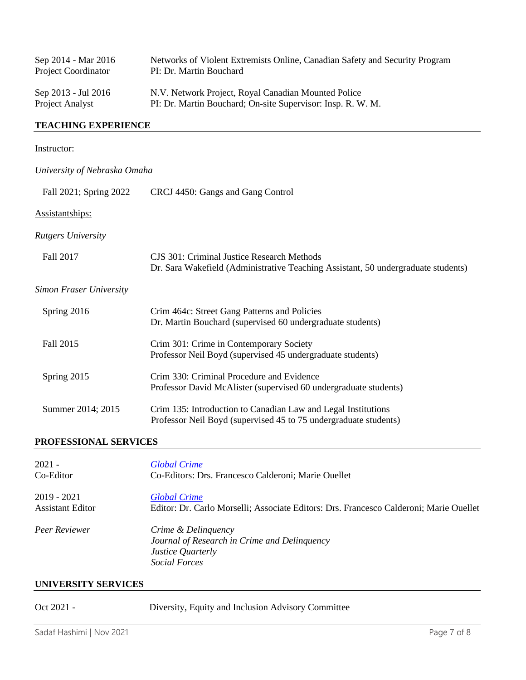| Sep 2014 - Mar 2016        | Networks of Violent Extremists Online, Canadian Safety and Security Program |
|----------------------------|-----------------------------------------------------------------------------|
| <b>Project Coordinator</b> | PI: Dr. Martin Bouchard                                                     |
| Sep 2013 - Jul 2016        | N.V. Network Project, Royal Canadian Mounted Police                         |
| Project Analyst            | PI: Dr. Martin Bouchard; On-site Supervisor: Insp. R. W. M.                 |

# **TEACHING EXPERIENCE**

# Instructor:

| University of Nebraska Omaha   |                                                                                                                                        |
|--------------------------------|----------------------------------------------------------------------------------------------------------------------------------------|
| Fall 2021; Spring 2022         | CRCJ 4450: Gangs and Gang Control                                                                                                      |
| Assistantships:                |                                                                                                                                        |
| <b>Rutgers University</b>      |                                                                                                                                        |
| Fall 2017                      | <b>CJS 301: Criminal Justice Research Methods</b><br>Dr. Sara Wakefield (Administrative Teaching Assistant, 50 undergraduate students) |
| <b>Simon Fraser University</b> |                                                                                                                                        |
| Spring 2016                    | Crim 464c: Street Gang Patterns and Policies<br>Dr. Martin Bouchard (supervised 60 undergraduate students)                             |
| Fall 2015                      | Crim 301: Crime in Contemporary Society<br>Professor Neil Boyd (supervised 45 undergraduate students)                                  |
| Spring 2015                    | Crim 330: Criminal Procedure and Evidence<br>Professor David McAlister (supervised 60 undergraduate students)                          |
| Summer 2014; 2015              | Crim 135: Introduction to Canadian Law and Legal Institutions<br>Professor Neil Boyd (supervised 45 to 75 undergraduate students)      |
|                                |                                                                                                                                        |

# **PROFESSIONAL SERVICES**

| $2021 -$                | <b>Global Crime</b>                                                                                       |
|-------------------------|-----------------------------------------------------------------------------------------------------------|
| Co-Editor               | Co-Editors: Drs. Francesco Calderoni; Marie Ouellet                                                       |
| $2019 - 2021$           | <b>Global Crime</b>                                                                                       |
| <b>Assistant Editor</b> | Editor: Dr. Carlo Morselli; Associate Editors: Drs. Francesco Calderoni; Marie Ouellet                    |
| Peer Reviewer           | Crime & Delinguency<br>Journal of Research in Crime and Delinquency<br>Justice Quarterly<br>Social Forces |

# **UNIVERSITY SERVICES**

| Oct 2021 - |  | Diversity, Equity and Inclusion Advisory Committee |
|------------|--|----------------------------------------------------|
|------------|--|----------------------------------------------------|